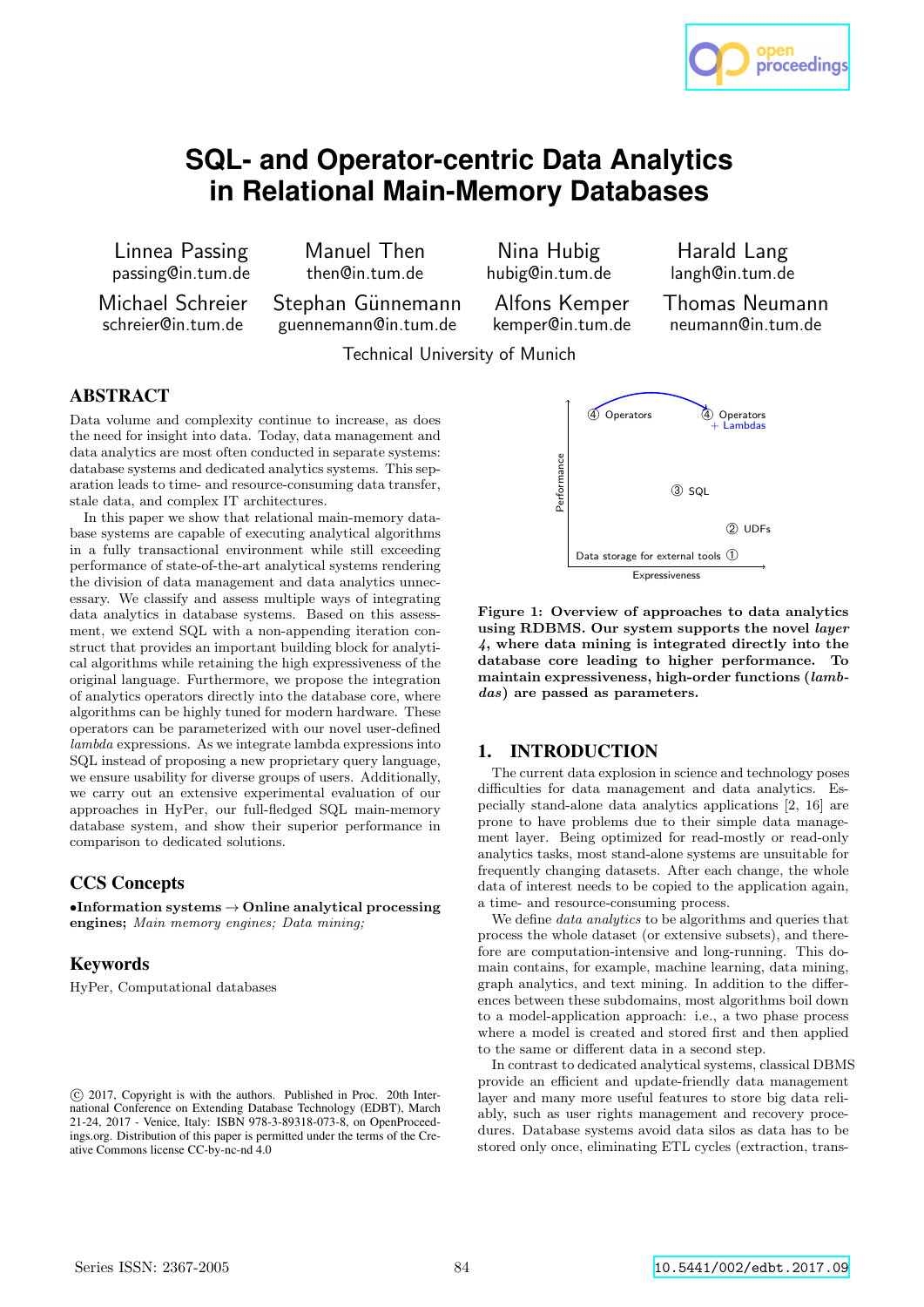

Linnea Passing Manuel Then Nina Hubig Harald Lang passing@in.tum.de

Michael Schreier ©Stephan Günnemann Alfons Kemper Thomas Neumann<br>schreier@in.tum.de guennemann@in.tum.de kemper@in.tum.de neumann@in.tum.de

guennemann@in.tum.de

proceedings

Technical University of Munich

# ABSTRACT

Data volume and complexity continue to increase, as does the need for insight into data. Today, data management and data analytics are most often conducted in separate systems: database systems and dedicated analytics systems. This separation leads to time- and resource-consuming data transfer, stale data, and complex IT architectures.

In this paper we show that relational main-memory database systems are capable of executing analytical algorithms in a fully transactional environment while still exceeding performance of state-of-the-art analytical systems rendering the division of data management and data analytics unnecessary. We classify and assess multiple ways of integrating data analytics in database systems. Based on this assessment, we extend SQL with a non-appending iteration construct that provides an important building block for analytical algorithms while retaining the high expressiveness of the original language. Furthermore, we propose the integration of analytics operators directly into the database core, where algorithms can be highly tuned for modern hardware. These operators can be parameterized with our novel user-defined lambda expressions. As we integrate lambda expressions into SQL instead of proposing a new proprietary query language, we ensure usability for diverse groups of users. Additionally, we carry out an extensive experimental evaluation of our approaches in HyPer, our full-fledged SQL main-memory database system, and show their superior performance in comparison to dedicated solutions.

# CCS Concepts

•Information systems  $\rightarrow$  Online analytical processing engines; Main memory engines; Data mining;

## Keywords

HyPer, Computational databases



Figure 1: Overview of approaches to data analytics using RDBMS. Our system supports the novel layer 4, where data mining is integrated directly into the database core leading to higher performance. To maintain expressiveness, high-order functions (lambdas) are passed as parameters.

## 1. INTRODUCTION

The current data explosion in science and technology poses difficulties for data management and data analytics. Especially stand-alone data analytics applications [2, 16] are prone to have problems due to their simple data management layer. Being optimized for read-mostly or read-only analytics tasks, most stand-alone systems are unsuitable for frequently changing datasets. After each change, the whole data of interest needs to be copied to the application again, a time- and resource-consuming process.

We define *data analytics* to be algorithms and queries that process the whole dataset (or extensive subsets), and therefore are computation-intensive and long-running. This domain contains, for example, machine learning, data mining, graph analytics, and text mining. In addition to the differences between these subdomains, most algorithms boil down to a model-application approach: i.e., a two phase process where a model is created and stored first and then applied to the same or different data in a second step.

In contrast to dedicated analytical systems, classical DBMS provide an efficient and update-friendly data management layer and many more useful features to store big data reliably, such as user rights management and recovery procedures. Database systems avoid data silos as data has to be stored only once, eliminating ETL cycles (extraction, trans-

 $\overline{c}$  2017, Copyright is with the authors. Published in Proc. 20th International Conference on Extending Database Technology (EDBT), March 21-24, 2017 - Venice, Italy: ISBN 978-3-89318-073-8, on OpenProceedings.org. Distribution of this paper is permitted under the terms of the Creative Commons license CC-by-nc-nd 4.0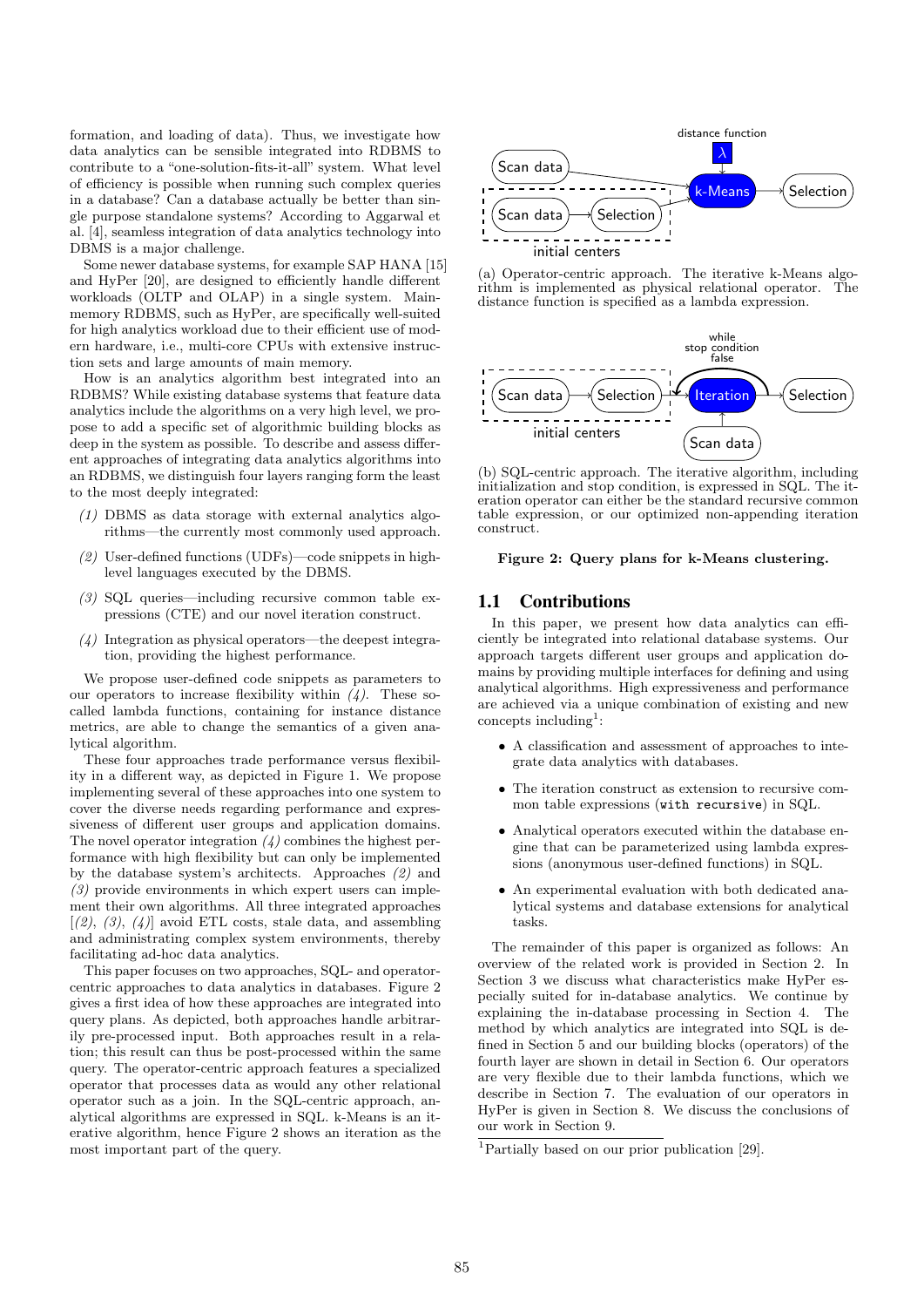formation, and loading of data). Thus, we investigate how data analytics can be sensible integrated into RDBMS to contribute to a "one-solution-fits-it-all" system. What level of efficiency is possible when running such complex queries in a database? Can a database actually be better than single purpose standalone systems? According to Aggarwal et al. [4], seamless integration of data analytics technology into DBMS is a major challenge.

Some newer database systems, for example SAP HANA [15] and HyPer [20], are designed to efficiently handle different workloads (OLTP and OLAP) in a single system. Mainmemory RDBMS, such as HyPer, are specifically well-suited for high analytics workload due to their efficient use of modern hardware, i.e., multi-core CPUs with extensive instruction sets and large amounts of main memory.

How is an analytics algorithm best integrated into an RDBMS? While existing database systems that feature data analytics include the algorithms on a very high level, we propose to add a specific set of algorithmic building blocks as deep in the system as possible. To describe and assess different approaches of integrating data analytics algorithms into an RDBMS, we distinguish four layers ranging form the least to the most deeply integrated:

- (1) DBMS as data storage with external analytics algorithms—the currently most commonly used approach.
- (2) User-defined functions (UDFs)—code snippets in highlevel languages executed by the DBMS.
- (3) SQL queries—including recursive common table expressions (CTE) and our novel iteration construct.
- $(4)$  Integration as physical operators—the deepest integration, providing the highest performance.

We propose user-defined code snippets as parameters to our operators to increase flexibility within  $(4)$ . These socalled lambda functions, containing for instance distance metrics, are able to change the semantics of a given analytical algorithm.

These four approaches trade performance versus flexibility in a different way, as depicted in Figure 1. We propose implementing several of these approaches into one system to cover the diverse needs regarding performance and expressiveness of different user groups and application domains. The novel operator integration  $(4)$  combines the highest performance with high flexibility but can only be implemented by the database system's architects. Approaches (2) and  $(3)$  provide environments in which expert users can implement their own algorithms. All three integrated approaches  $[2, 3, 4]$  avoid ETL costs, stale data, and assembling and administrating complex system environments, thereby facilitating ad-hoc data analytics.

This paper focuses on two approaches, SQL- and operatorcentric approaches to data analytics in databases. Figure 2 gives a first idea of how these approaches are integrated into query plans. As depicted, both approaches handle arbitrarily pre-processed input. Both approaches result in a relation; this result can thus be post-processed within the same query. The operator-centric approach features a specialized operator that processes data as would any other relational operator such as a join. In the SQL-centric approach, analytical algorithms are expressed in SQL. k-Means is an iterative algorithm, hence Figure 2 shows an iteration as the most important part of the query.



(a) Operator-centric approach. The iterative k-Means algo-<br>rithm is implemented as physical relational operator. The rithm is implemented as physical relational operator. distance function is specified as a lambda expression.



(b) SQL-centric approach. The iterative algorithm, including initialization and stop condition, is expressed in SQL. The iteration operator can either be the standard recursive common table expression, or our optimized non-appending iteration construct.

#### Figure 2: Query plans for k-Means clustering.

### 1.1 Contributions

In this paper, we present how data analytics can efficiently be integrated into relational database systems. Our approach targets different user groups and application domains by providing multiple interfaces for defining and using analytical algorithms. High expressiveness and performance are achieved via a unique combination of existing and new  $concepts including<sup>1</sup>:$ 

- A classification and assessment of approaches to integrate data analytics with databases.
- The iteration construct as extension to recursive common table expressions (with recursive) in SQL.
- Analytical operators executed within the database engine that can be parameterized using lambda expressions (anonymous user-defined functions) in SQL.
- An experimental evaluation with both dedicated analytical systems and database extensions for analytical tasks.

The remainder of this paper is organized as follows: An overview of the related work is provided in Section 2. In Section 3 we discuss what characteristics make HyPer especially suited for in-database analytics. We continue by explaining the in-database processing in Section 4. The method by which analytics are integrated into SQL is defined in Section 5 and our building blocks (operators) of the fourth layer are shown in detail in Section 6. Our operators are very flexible due to their lambda functions, which we describe in Section 7. The evaluation of our operators in HyPer is given in Section 8. We discuss the conclusions of our work in Section 9.

<sup>1</sup>Partially based on our prior publication [29].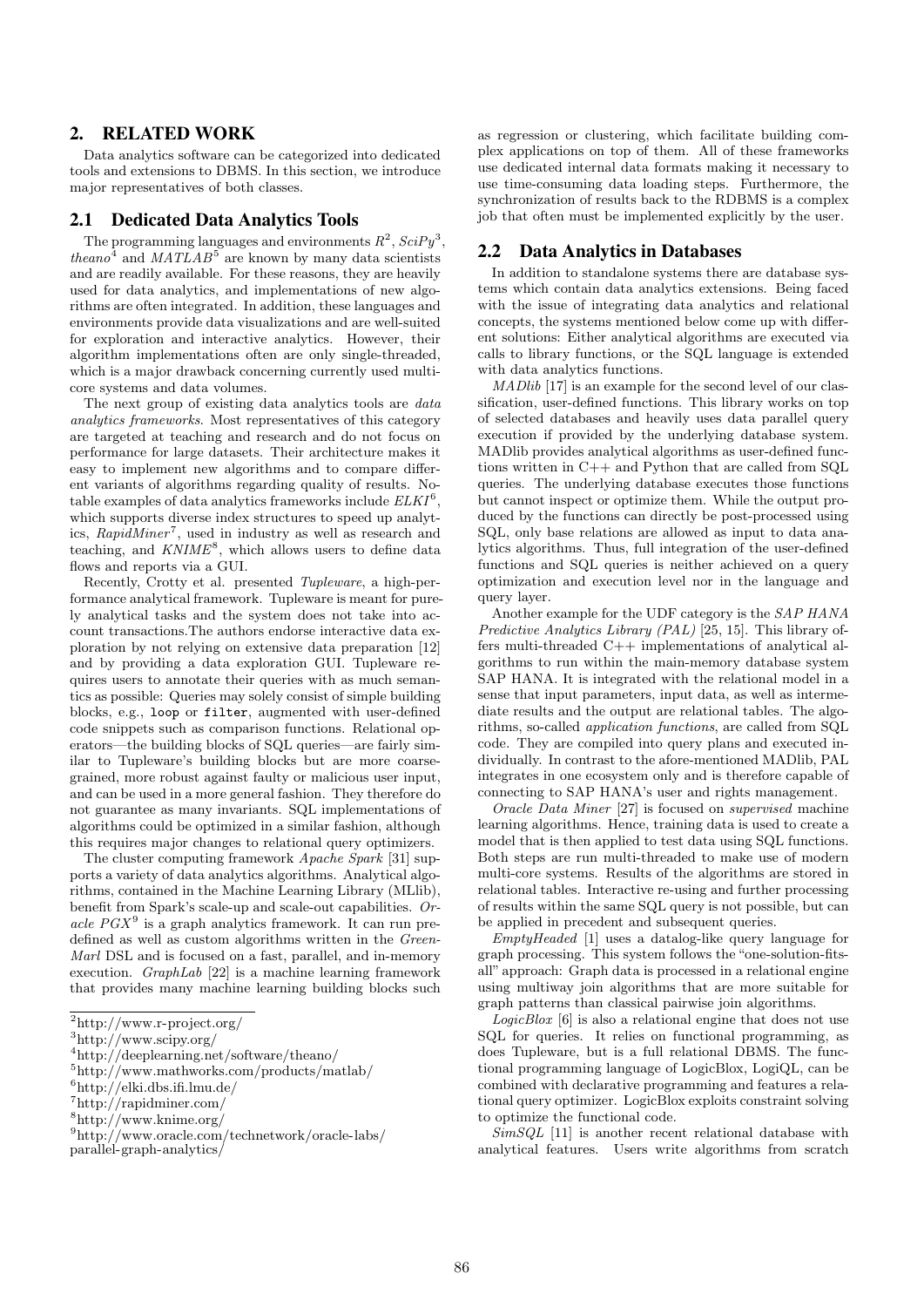## 2. RELATED WORK

Data analytics software can be categorized into dedicated tools and extensions to DBMS. In this section, we introduce major representatives of both classes.

# 2.1 Dedicated Data Analytics Tools

The programming languages and environments  $R^2$ ,  $SciPy^3$ , *theano*<sup>4</sup> and  $MATLAB^5$  are known by many data scientists and are readily available. For these reasons, they are heavily used for data analytics, and implementations of new algorithms are often integrated. In addition, these languages and environments provide data visualizations and are well-suited for exploration and interactive analytics. However, their algorithm implementations often are only single-threaded, which is a major drawback concerning currently used multicore systems and data volumes.

The next group of existing data analytics tools are *data* analytics frameworks. Most representatives of this category are targeted at teaching and research and do not focus on performance for large datasets. Their architecture makes it easy to implement new algorithms and to compare different variants of algorithms regarding quality of results. Notable examples of data analytics frameworks include  $ELKI^6$ , which supports diverse index structures to speed up analytics, RapidMiner<sup>7</sup>, used in industry as well as research and teaching, and  $KNIME^8$ , which allows users to define data flows and reports via a GUI.

Recently, Crotty et al. presented Tupleware, a high-performance analytical framework. Tupleware is meant for purely analytical tasks and the system does not take into account transactions.The authors endorse interactive data exploration by not relying on extensive data preparation [12] and by providing a data exploration GUI. Tupleware requires users to annotate their queries with as much semantics as possible: Queries may solely consist of simple building blocks, e.g., loop or filter, augmented with user-defined code snippets such as comparison functions. Relational operators—the building blocks of SQL queries—are fairly similar to Tupleware's building blocks but are more coarsegrained, more robust against faulty or malicious user input, and can be used in a more general fashion. They therefore do not guarantee as many invariants. SQL implementations of algorithms could be optimized in a similar fashion, although this requires major changes to relational query optimizers.

The cluster computing framework Apache Spark [31] supports a variety of data analytics algorithms. Analytical algorithms, contained in the Machine Learning Library (MLlib), benefit from Spark's scale-up and scale-out capabilities. Oracle  $PGX<sup>9</sup>$  is a graph analytics framework. It can run predefined as well as custom algorithms written in the Green-Marl DSL and is focused on a fast, parallel, and in-memory execution. GraphLab [22] is a machine learning framework that provides many machine learning building blocks such as regression or clustering, which facilitate building complex applications on top of them. All of these frameworks use dedicated internal data formats making it necessary to use time-consuming data loading steps. Furthermore, the synchronization of results back to the RDBMS is a complex job that often must be implemented explicitly by the user.

#### 2.2 Data Analytics in Databases

In addition to standalone systems there are database systems which contain data analytics extensions. Being faced with the issue of integrating data analytics and relational concepts, the systems mentioned below come up with different solutions: Either analytical algorithms are executed via calls to library functions, or the SQL language is extended with data analytics functions.

MADlib [17] is an example for the second level of our classification, user-defined functions. This library works on top of selected databases and heavily uses data parallel query execution if provided by the underlying database system. MADlib provides analytical algorithms as user-defined functions written in C++ and Python that are called from SQL queries. The underlying database executes those functions but cannot inspect or optimize them. While the output produced by the functions can directly be post-processed using SQL, only base relations are allowed as input to data analytics algorithms. Thus, full integration of the user-defined functions and SQL queries is neither achieved on a query optimization and execution level nor in the language and query layer.

Another example for the UDF category is the SAP HANA Predictive Analytics Library (PAL) [25, 15]. This library offers multi-threaded C++ implementations of analytical algorithms to run within the main-memory database system SAP HANA. It is integrated with the relational model in a sense that input parameters, input data, as well as intermediate results and the output are relational tables. The algorithms, so-called application functions, are called from SQL code. They are compiled into query plans and executed individually. In contrast to the afore-mentioned MADlib, PAL integrates in one ecosystem only and is therefore capable of connecting to SAP HANA's user and rights management.

Oracle Data Miner [27] is focused on supervised machine learning algorithms. Hence, training data is used to create a model that is then applied to test data using SQL functions. Both steps are run multi-threaded to make use of modern multi-core systems. Results of the algorithms are stored in relational tables. Interactive re-using and further processing of results within the same SQL query is not possible, but can be applied in precedent and subsequent queries.

EmptyHeaded [1] uses a datalog-like query language for graph processing. This system follows the "one-solution-fitsall" approach: Graph data is processed in a relational engine using multiway join algorithms that are more suitable for graph patterns than classical pairwise join algorithms.

 $LogicBlox$  [6] is also a relational engine that does not use SQL for queries. It relies on functional programming, as does Tupleware, but is a full relational DBMS. The functional programming language of LogicBlox, LogiQL, can be combined with declarative programming and features a relational query optimizer. LogicBlox exploits constraint solving to optimize the functional code.

SimSQL [11] is another recent relational database with analytical features. Users write algorithms from scratch

 $^2\overline{\textrm{http://www.r-project.org/}}$ 

 $^3$  http://www.scipy.org/  $\,$ 

<sup>4</sup>http://deeplearning.net/software/theano/

<sup>5</sup>http://www.mathworks.com/products/matlab/

<sup>6</sup>http://elki.dbs.ifi.lmu.de/

<sup>7</sup>http://rapidminer.com/

<sup>8</sup>http://www.knime.org/

 $^9$ http://www.oracle.com/technetwork/oracle-labs/ parallel-graph-analytics/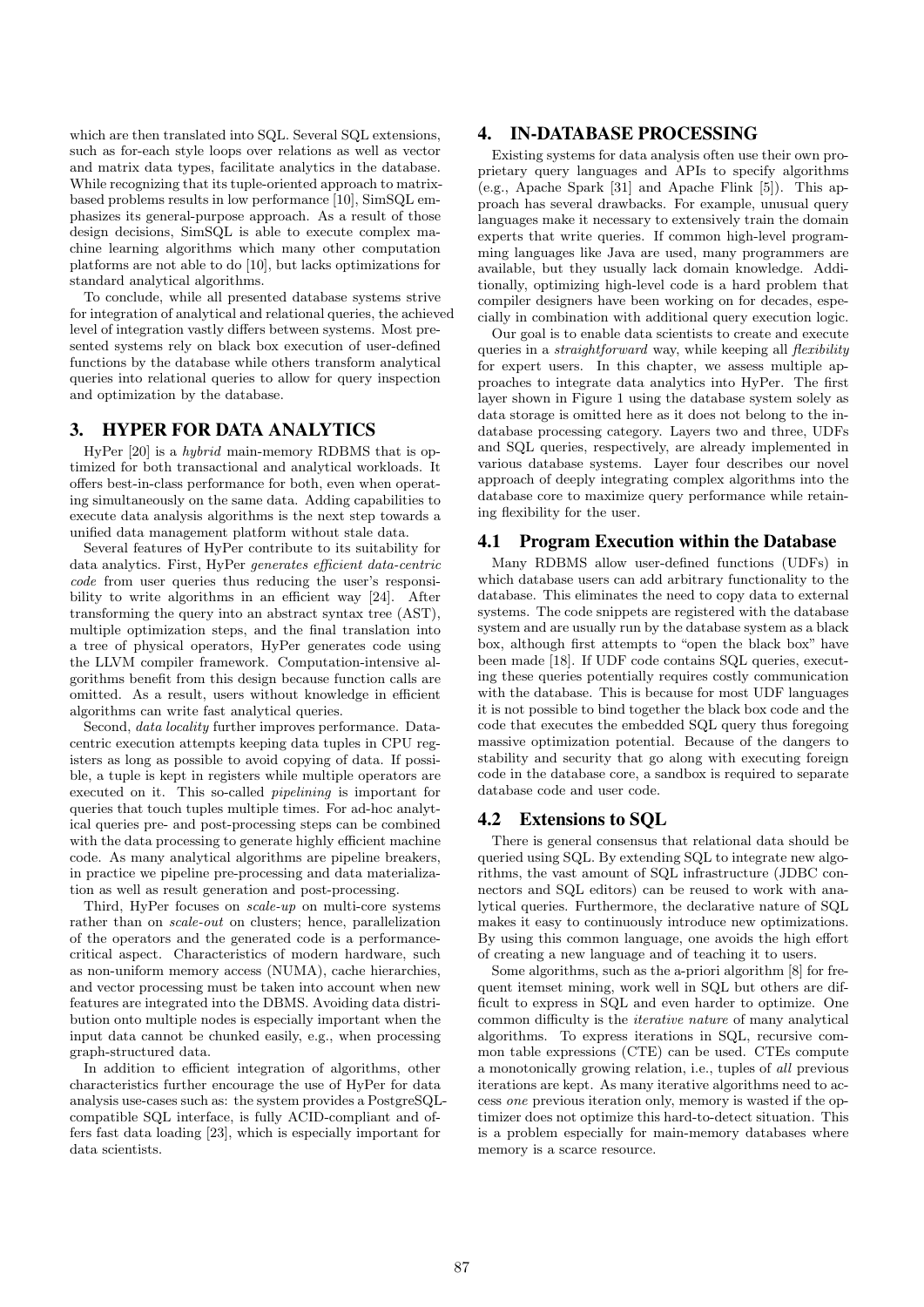which are then translated into SQL. Several SQL extensions, such as for-each style loops over relations as well as vector and matrix data types, facilitate analytics in the database. While recognizing that its tuple-oriented approach to matrixbased problems results in low performance [10], SimSQL emphasizes its general-purpose approach. As a result of those design decisions, SimSQL is able to execute complex machine learning algorithms which many other computation platforms are not able to do [10], but lacks optimizations for standard analytical algorithms.

To conclude, while all presented database systems strive for integration of analytical and relational queries, the achieved level of integration vastly differs between systems. Most presented systems rely on black box execution of user-defined functions by the database while others transform analytical queries into relational queries to allow for query inspection and optimization by the database.

## 3. HYPER FOR DATA ANALYTICS

HyPer [20] is a hybrid main-memory RDBMS that is optimized for both transactional and analytical workloads. It offers best-in-class performance for both, even when operating simultaneously on the same data. Adding capabilities to execute data analysis algorithms is the next step towards a unified data management platform without stale data.

Several features of HyPer contribute to its suitability for data analytics. First, HyPer generates efficient data-centric code from user queries thus reducing the user's responsibility to write algorithms in an efficient way [24]. After transforming the query into an abstract syntax tree (AST), multiple optimization steps, and the final translation into a tree of physical operators, HyPer generates code using the LLVM compiler framework. Computation-intensive algorithms benefit from this design because function calls are omitted. As a result, users without knowledge in efficient algorithms can write fast analytical queries.

Second, data locality further improves performance. Datacentric execution attempts keeping data tuples in CPU registers as long as possible to avoid copying of data. If possible, a tuple is kept in registers while multiple operators are executed on it. This so-called pipelining is important for queries that touch tuples multiple times. For ad-hoc analytical queries pre- and post-processing steps can be combined with the data processing to generate highly efficient machine code. As many analytical algorithms are pipeline breakers, in practice we pipeline pre-processing and data materialization as well as result generation and post-processing.

Third, HyPer focuses on scale-up on multi-core systems rather than on scale-out on clusters; hence, parallelization of the operators and the generated code is a performancecritical aspect. Characteristics of modern hardware, such as non-uniform memory access (NUMA), cache hierarchies, and vector processing must be taken into account when new features are integrated into the DBMS. Avoiding data distribution onto multiple nodes is especially important when the input data cannot be chunked easily, e.g., when processing graph-structured data.

In addition to efficient integration of algorithms, other characteristics further encourage the use of HyPer for data analysis use-cases such as: the system provides a PostgreSQLcompatible SQL interface, is fully ACID-compliant and offers fast data loading [23], which is especially important for data scientists.

### 4. IN-DATABASE PROCESSING

Existing systems for data analysis often use their own proprietary query languages and APIs to specify algorithms (e.g., Apache Spark [31] and Apache Flink [5]). This approach has several drawbacks. For example, unusual query languages make it necessary to extensively train the domain experts that write queries. If common high-level programming languages like Java are used, many programmers are available, but they usually lack domain knowledge. Additionally, optimizing high-level code is a hard problem that compiler designers have been working on for decades, especially in combination with additional query execution logic.

Our goal is to enable data scientists to create and execute queries in a *straightforward* way, while keeping all *flexibility* for expert users. In this chapter, we assess multiple approaches to integrate data analytics into HyPer. The first layer shown in Figure 1 using the database system solely as data storage is omitted here as it does not belong to the indatabase processing category. Layers two and three, UDFs and SQL queries, respectively, are already implemented in various database systems. Layer four describes our novel approach of deeply integrating complex algorithms into the database core to maximize query performance while retaining flexibility for the user.

# 4.1 Program Execution within the Database

Many RDBMS allow user-defined functions (UDFs) in which database users can add arbitrary functionality to the database. This eliminates the need to copy data to external systems. The code snippets are registered with the database system and are usually run by the database system as a black box, although first attempts to "open the black box" have been made [18]. If UDF code contains SQL queries, executing these queries potentially requires costly communication with the database. This is because for most UDF languages it is not possible to bind together the black box code and the code that executes the embedded SQL query thus foregoing massive optimization potential. Because of the dangers to stability and security that go along with executing foreign code in the database core, a sandbox is required to separate database code and user code.

### 4.2 Extensions to SQL

There is general consensus that relational data should be queried using SQL. By extending SQL to integrate new algorithms, the vast amount of SQL infrastructure (JDBC connectors and SQL editors) can be reused to work with analytical queries. Furthermore, the declarative nature of SQL makes it easy to continuously introduce new optimizations. By using this common language, one avoids the high effort of creating a new language and of teaching it to users.

Some algorithms, such as the a-priori algorithm [8] for frequent itemset mining, work well in SQL but others are difficult to express in SQL and even harder to optimize. One common difficulty is the iterative nature of many analytical algorithms. To express iterations in SQL, recursive common table expressions (CTE) can be used. CTEs compute a monotonically growing relation, i.e., tuples of all previous iterations are kept. As many iterative algorithms need to access one previous iteration only, memory is wasted if the optimizer does not optimize this hard-to-detect situation. This is a problem especially for main-memory databases where memory is a scarce resource.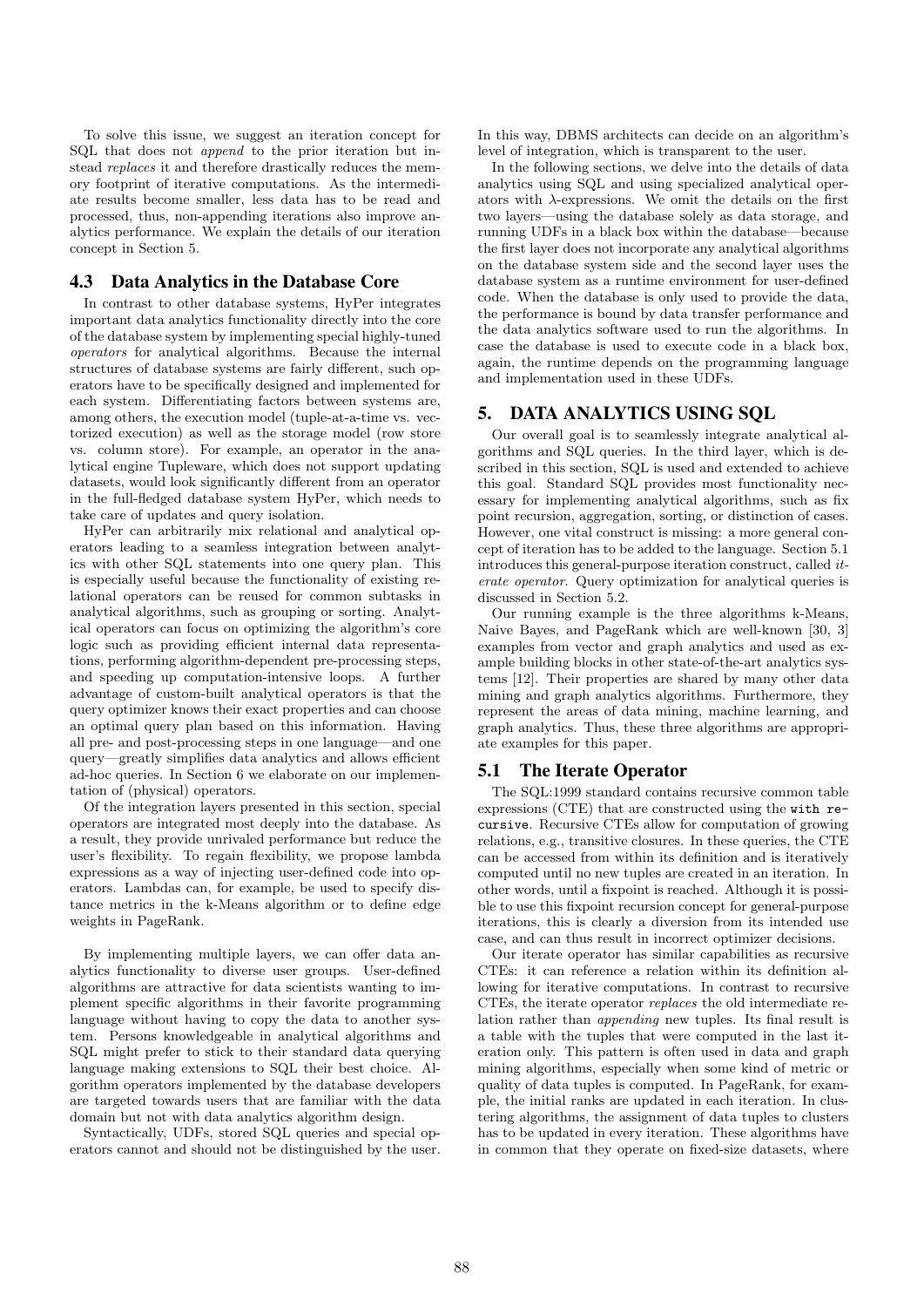To solve this issue, we suggest an iteration concept for SQL that does not append to the prior iteration but instead replaces it and therefore drastically reduces the memory footprint of iterative computations. As the intermediate results become smaller, less data has to be read and processed, thus, non-appending iterations also improve analytics performance. We explain the details of our iteration concept in Section 5.

## 4.3 Data Analytics in the Database Core

In contrast to other database systems, HyPer integrates important data analytics functionality directly into the core of the database system by implementing special highly-tuned operators for analytical algorithms. Because the internal structures of database systems are fairly different, such operators have to be specifically designed and implemented for each system. Differentiating factors between systems are, among others, the execution model (tuple-at-a-time vs. vectorized execution) as well as the storage model (row store vs. column store). For example, an operator in the analytical engine Tupleware, which does not support updating datasets, would look significantly different from an operator in the full-fledged database system HyPer, which needs to take care of updates and query isolation.

HyPer can arbitrarily mix relational and analytical operators leading to a seamless integration between analytics with other SQL statements into one query plan. This is especially useful because the functionality of existing relational operators can be reused for common subtasks in analytical algorithms, such as grouping or sorting. Analytical operators can focus on optimizing the algorithm's core logic such as providing efficient internal data representations, performing algorithm-dependent pre-processing steps, and speeding up computation-intensive loops. A further advantage of custom-built analytical operators is that the query optimizer knows their exact properties and can choose an optimal query plan based on this information. Having all pre- and post-processing steps in one language—and one query—greatly simplifies data analytics and allows efficient ad-hoc queries. In Section 6 we elaborate on our implementation of (physical) operators.

Of the integration layers presented in this section, special operators are integrated most deeply into the database. As a result, they provide unrivaled performance but reduce the user's flexibility. To regain flexibility, we propose lambda expressions as a way of injecting user-defined code into operators. Lambdas can, for example, be used to specify distance metrics in the k-Means algorithm or to define edge weights in PageRank.

By implementing multiple layers, we can offer data analytics functionality to diverse user groups. User-defined algorithms are attractive for data scientists wanting to implement specific algorithms in their favorite programming language without having to copy the data to another system. Persons knowledgeable in analytical algorithms and SQL might prefer to stick to their standard data querying language making extensions to SQL their best choice. Algorithm operators implemented by the database developers are targeted towards users that are familiar with the data domain but not with data analytics algorithm design.

Syntactically, UDFs, stored SQL queries and special operators cannot and should not be distinguished by the user. In this way, DBMS architects can decide on an algorithm's level of integration, which is transparent to the user.

In the following sections, we delve into the details of data analytics using SQL and using specialized analytical operators with  $\lambda$ -expressions. We omit the details on the first two layers—using the database solely as data storage, and running UDFs in a black box within the database—because the first layer does not incorporate any analytical algorithms on the database system side and the second layer uses the database system as a runtime environment for user-defined code. When the database is only used to provide the data, the performance is bound by data transfer performance and the data analytics software used to run the algorithms. In case the database is used to execute code in a black box, again, the runtime depends on the programming language and implementation used in these UDFs.

### 5. DATA ANALYTICS USING SQL

Our overall goal is to seamlessly integrate analytical algorithms and SQL queries. In the third layer, which is described in this section, SQL is used and extended to achieve this goal. Standard SQL provides most functionality necessary for implementing analytical algorithms, such as fix point recursion, aggregation, sorting, or distinction of cases. However, one vital construct is missing: a more general concept of iteration has to be added to the language. Section 5.1 introduces this general-purpose iteration construct, called iterate operator. Query optimization for analytical queries is discussed in Section 5.2.

Our running example is the three algorithms k-Means, Naive Bayes, and PageRank which are well-known [30, 3] examples from vector and graph analytics and used as example building blocks in other state-of-the-art analytics systems [12]. Their properties are shared by many other data mining and graph analytics algorithms. Furthermore, they represent the areas of data mining, machine learning, and graph analytics. Thus, these three algorithms are appropriate examples for this paper.

## 5.1 The Iterate Operator

The SQL:1999 standard contains recursive common table expressions (CTE) that are constructed using the with recursive. Recursive CTEs allow for computation of growing relations, e.g., transitive closures. In these queries, the CTE can be accessed from within its definition and is iteratively computed until no new tuples are created in an iteration. In other words, until a fixpoint is reached. Although it is possible to use this fixpoint recursion concept for general-purpose iterations, this is clearly a diversion from its intended use case, and can thus result in incorrect optimizer decisions.

Our iterate operator has similar capabilities as recursive CTEs: it can reference a relation within its definition allowing for iterative computations. In contrast to recursive CTEs, the iterate operator replaces the old intermediate relation rather than appending new tuples. Its final result is a table with the tuples that were computed in the last iteration only. This pattern is often used in data and graph mining algorithms, especially when some kind of metric or quality of data tuples is computed. In PageRank, for example, the initial ranks are updated in each iteration. In clustering algorithms, the assignment of data tuples to clusters has to be updated in every iteration. These algorithms have in common that they operate on fixed-size datasets, where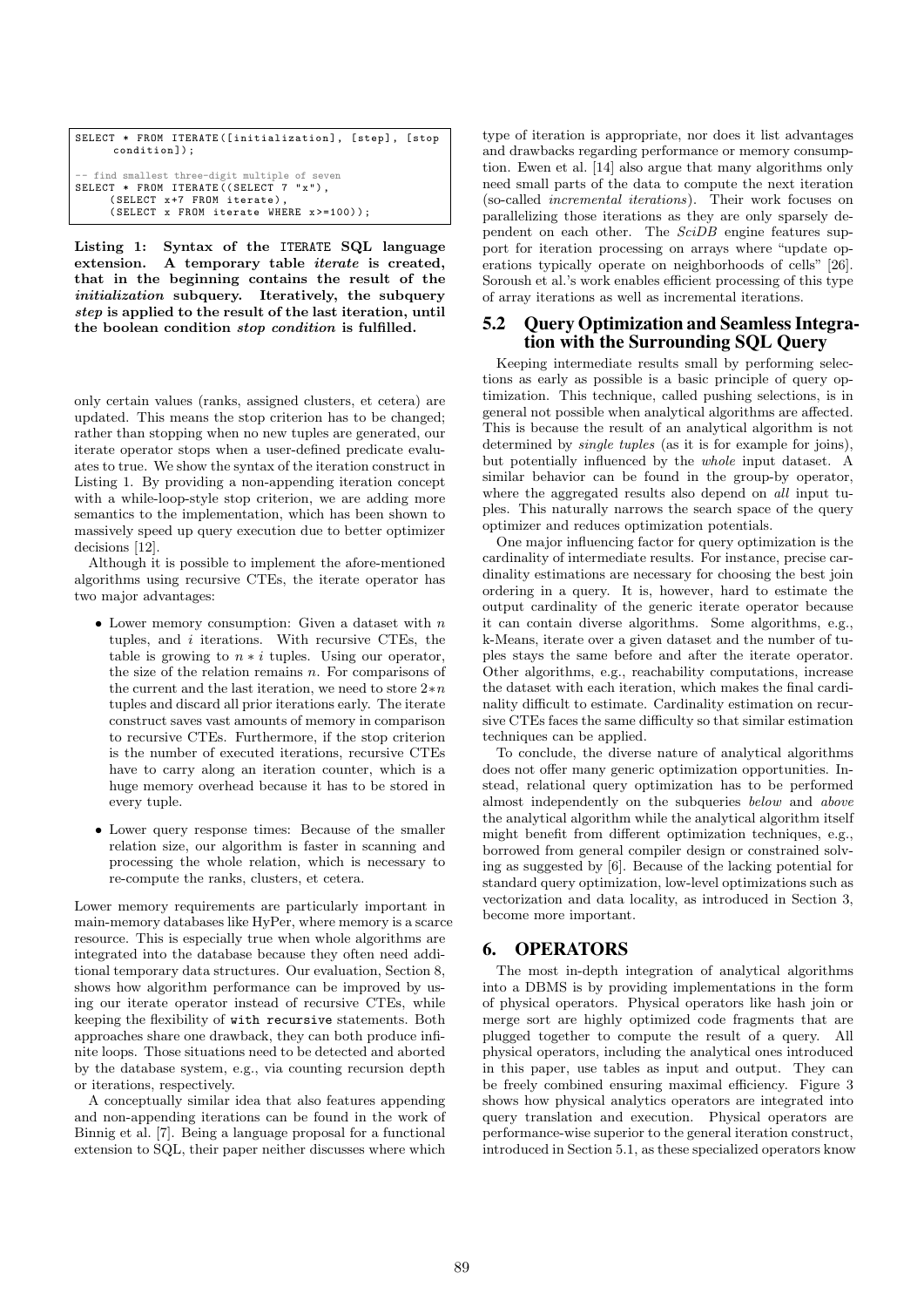```
SELECT * FROM ITERATE ([initialization], [step], [stop
      condition ]) ;
   find smallest three-digit multiple of seven
SELECT * FROM ITERATE ((SELECT 7 "x"),
      ( SELECT x +7 FROM iterate ) ,
      ( SELECT x FROM iterate WHERE x >=100) );
```
Listing 1: Syntax of the ITERATE SQL language extension. A temporary table *iterate* is created, that in the beginning contains the result of the initialization subquery. Iteratively, the subquery step is applied to the result of the last iteration, until the boolean condition stop condition is fulfilled.

only certain values (ranks, assigned clusters, et cetera) are updated. This means the stop criterion has to be changed; rather than stopping when no new tuples are generated, our iterate operator stops when a user-defined predicate evaluates to true. We show the syntax of the iteration construct in Listing 1. By providing a non-appending iteration concept with a while-loop-style stop criterion, we are adding more semantics to the implementation, which has been shown to massively speed up query execution due to better optimizer decisions [12].

Although it is possible to implement the afore-mentioned algorithms using recursive CTEs, the iterate operator has two major advantages:

- Lower memory consumption: Given a dataset with  $n$ tuples, and  $i$  iterations. With recursive CTEs, the table is growing to  $n * i$  tuples. Using our operator, the size of the relation remains  $n$ . For comparisons of the current and the last iteration, we need to store 2∗n tuples and discard all prior iterations early. The iterate construct saves vast amounts of memory in comparison to recursive CTEs. Furthermore, if the stop criterion is the number of executed iterations, recursive CTEs have to carry along an iteration counter, which is a huge memory overhead because it has to be stored in every tuple.
- Lower query response times: Because of the smaller relation size, our algorithm is faster in scanning and processing the whole relation, which is necessary to re-compute the ranks, clusters, et cetera.

Lower memory requirements are particularly important in main-memory databases like HyPer, where memory is a scarce resource. This is especially true when whole algorithms are integrated into the database because they often need additional temporary data structures. Our evaluation, Section 8, shows how algorithm performance can be improved by using our iterate operator instead of recursive CTEs, while keeping the flexibility of with recursive statements. Both approaches share one drawback, they can both produce infinite loops. Those situations need to be detected and aborted by the database system, e.g., via counting recursion depth or iterations, respectively.

A conceptually similar idea that also features appending and non-appending iterations can be found in the work of Binnig et al. [7]. Being a language proposal for a functional extension to SQL, their paper neither discusses where which

type of iteration is appropriate, nor does it list advantages and drawbacks regarding performance or memory consumption. Ewen et al. [14] also argue that many algorithms only need small parts of the data to compute the next iteration (so-called incremental iterations). Their work focuses on parallelizing those iterations as they are only sparsely dependent on each other. The SciDB engine features support for iteration processing on arrays where "update operations typically operate on neighborhoods of cells" [26]. Soroush et al.'s work enables efficient processing of this type of array iterations as well as incremental iterations.

## 5.2 Query Optimization and Seamless Integration with the Surrounding SQL Query

Keeping intermediate results small by performing selections as early as possible is a basic principle of query optimization. This technique, called pushing selections, is in general not possible when analytical algorithms are affected. This is because the result of an analytical algorithm is not determined by *single tuples* (as it is for example for joins), but potentially influenced by the whole input dataset. A similar behavior can be found in the group-by operator, where the aggregated results also depend on *all* input tuples. This naturally narrows the search space of the query optimizer and reduces optimization potentials.

One major influencing factor for query optimization is the cardinality of intermediate results. For instance, precise cardinality estimations are necessary for choosing the best join ordering in a query. It is, however, hard to estimate the output cardinality of the generic iterate operator because it can contain diverse algorithms. Some algorithms, e.g., k-Means, iterate over a given dataset and the number of tuples stays the same before and after the iterate operator. Other algorithms, e.g., reachability computations, increase the dataset with each iteration, which makes the final cardinality difficult to estimate. Cardinality estimation on recursive CTEs faces the same difficulty so that similar estimation techniques can be applied.

To conclude, the diverse nature of analytical algorithms does not offer many generic optimization opportunities. Instead, relational query optimization has to be performed almost independently on the subqueries below and above the analytical algorithm while the analytical algorithm itself might benefit from different optimization techniques, e.g., borrowed from general compiler design or constrained solving as suggested by [6]. Because of the lacking potential for standard query optimization, low-level optimizations such as vectorization and data locality, as introduced in Section 3, become more important.

# 6. OPERATORS

The most in-depth integration of analytical algorithms into a DBMS is by providing implementations in the form of physical operators. Physical operators like hash join or merge sort are highly optimized code fragments that are plugged together to compute the result of a query. All physical operators, including the analytical ones introduced in this paper, use tables as input and output. They can be freely combined ensuring maximal efficiency. Figure 3 shows how physical analytics operators are integrated into query translation and execution. Physical operators are performance-wise superior to the general iteration construct, introduced in Section 5.1, as these specialized operators know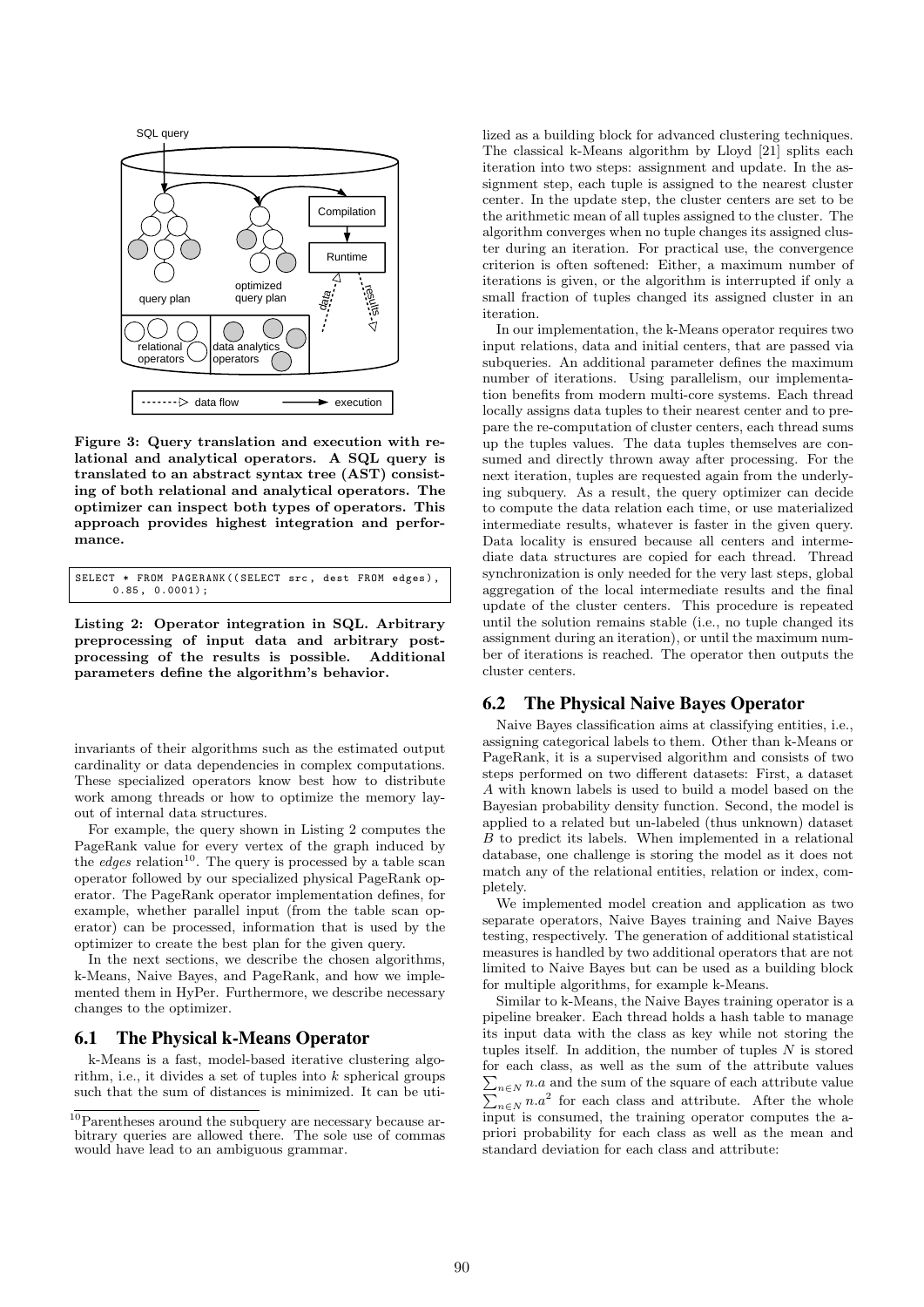

Figure 3: Query translation and execution with relational and analytical operators. A SQL query is translated to an abstract syntax tree (AST) consisting of both relational and analytical operators. The optimizer can inspect both types of operators. This approach provides highest integration and performance.

|  |  | SELECT * FROM PAGERANK ((SELECT src, dest FROM edges), |  |  |  |
|--|--|--------------------------------------------------------|--|--|--|
|  |  | $0.85, 0.0001$ ;                                       |  |  |  |

Listing 2: Operator integration in SQL. Arbitrary preprocessing of input data and arbitrary postprocessing of the results is possible. Additional parameters define the algorithm's behavior.

invariants of their algorithms such as the estimated output cardinality or data dependencies in complex computations. These specialized operators know best how to distribute work among threads or how to optimize the memory layout of internal data structures.

For example, the query shown in Listing 2 computes the PageRank value for every vertex of the graph induced by the *edges* relation<sup>10</sup>. The query is processed by a table scan operator followed by our specialized physical PageRank operator. The PageRank operator implementation defines, for example, whether parallel input (from the table scan operator) can be processed, information that is used by the optimizer to create the best plan for the given query.

In the next sections, we describe the chosen algorithms, k-Means, Naive Bayes, and PageRank, and how we implemented them in HyPer. Furthermore, we describe necessary changes to the optimizer.

#### 6.1 The Physical k-Means Operator

k-Means is a fast, model-based iterative clustering algorithm, i.e., it divides a set of tuples into  $k$  spherical groups such that the sum of distances is minimized. It can be uti-

lized as a building block for advanced clustering techniques. The classical k-Means algorithm by Lloyd [21] splits each iteration into two steps: assignment and update. In the assignment step, each tuple is assigned to the nearest cluster center. In the update step, the cluster centers are set to be the arithmetic mean of all tuples assigned to the cluster. The algorithm converges when no tuple changes its assigned cluster during an iteration. For practical use, the convergence criterion is often softened: Either, a maximum number of iterations is given, or the algorithm is interrupted if only a small fraction of tuples changed its assigned cluster in an iteration.

In our implementation, the k-Means operator requires two input relations, data and initial centers, that are passed via subqueries. An additional parameter defines the maximum number of iterations. Using parallelism, our implementation benefits from modern multi-core systems. Each thread locally assigns data tuples to their nearest center and to prepare the re-computation of cluster centers, each thread sums up the tuples values. The data tuples themselves are consumed and directly thrown away after processing. For the next iteration, tuples are requested again from the underlying subquery. As a result, the query optimizer can decide to compute the data relation each time, or use materialized intermediate results, whatever is faster in the given query. Data locality is ensured because all centers and intermediate data structures are copied for each thread. Thread synchronization is only needed for the very last steps, global aggregation of the local intermediate results and the final update of the cluster centers. This procedure is repeated until the solution remains stable (i.e., no tuple changed its assignment during an iteration), or until the maximum number of iterations is reached. The operator then outputs the cluster centers.

### 6.2 The Physical Naive Bayes Operator

Naive Bayes classification aims at classifying entities, i.e., assigning categorical labels to them. Other than k-Means or PageRank, it is a supervised algorithm and consists of two steps performed on two different datasets: First, a dataset A with known labels is used to build a model based on the Bayesian probability density function. Second, the model is applied to a related but un-labeled (thus unknown) dataset B to predict its labels. When implemented in a relational database, one challenge is storing the model as it does not match any of the relational entities, relation or index, completely.

We implemented model creation and application as two separate operators, Naive Bayes training and Naive Bayes testing, respectively. The generation of additional statistical measures is handled by two additional operators that are not limited to Naive Bayes but can be used as a building block for multiple algorithms, for example k-Means.

Similar to k-Means, the Naive Bayes training operator is a pipeline breaker. Each thread holds a hash table to manage its input data with the class as key while not storing the tuples itself. In addition, the number of tuples  $N$  is stored for each class, as well as the sum of the attribute values  $\sum_{n\in\mathbb{N}} n.a$  and the sum of the square of each attribute value  $\sum_{n\in\mathbb{N}} n.a^2$  for each class and attribute. After the whole input is consumed, the training operator computes the apriori probability for each class as well as the mean and standard deviation for each class and attribute:

 $10<sub>P</sub>$  arentheses around the subquery are necessary because arbitrary queries are allowed there. The sole use of commas would have lead to an ambiguous grammar.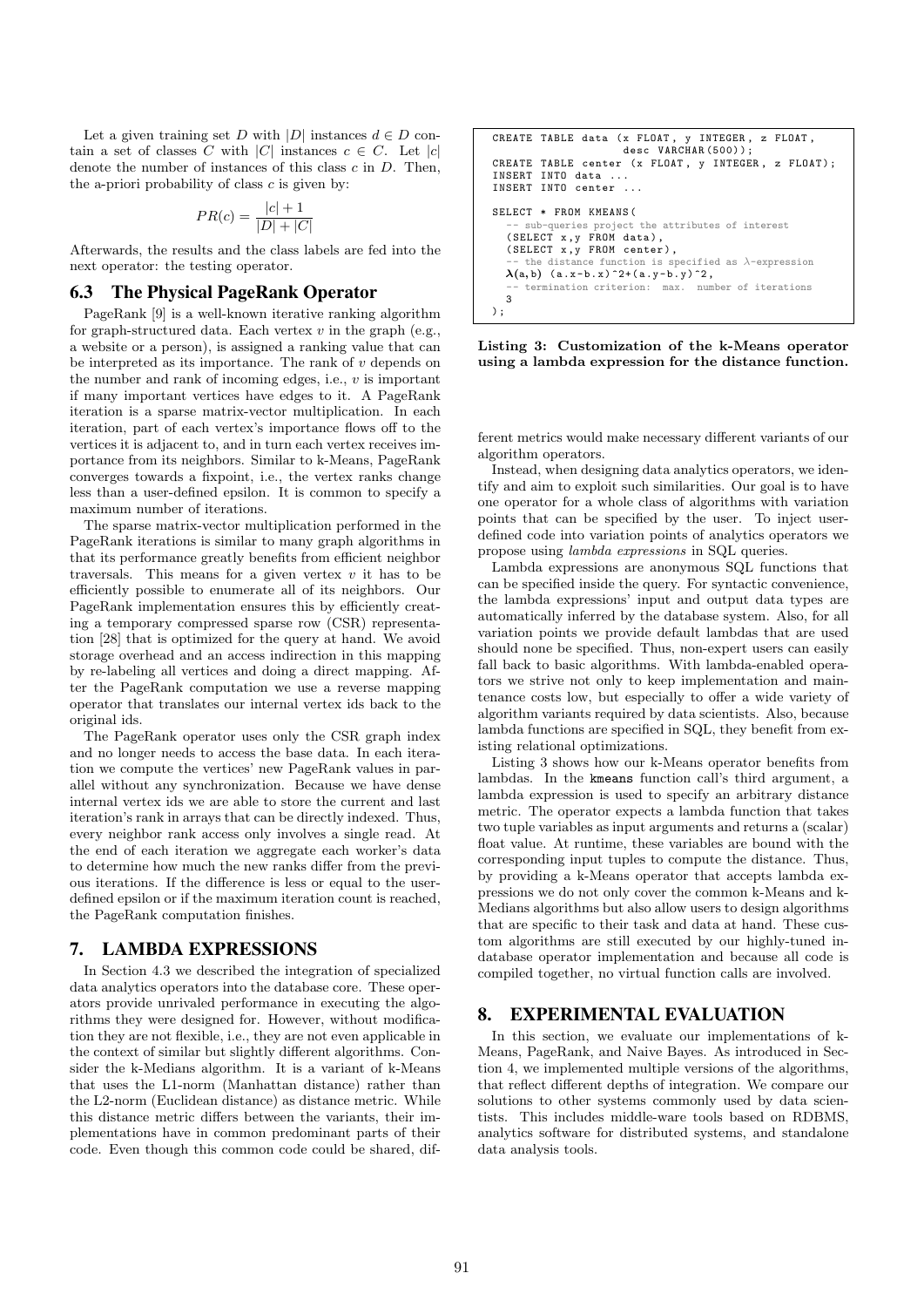Let a given training set D with |D| instances  $d \in D$  contain a set of classes C with |C| instances  $c \in C$ . Let |c| denote the number of instances of this class c in D. Then, the a-priori probability of class  $c$  is given by:

$$
PR(c) = \frac{|c| + 1}{|D| + |C|}
$$

Afterwards, the results and the class labels are fed into the next operator: the testing operator.

#### 6.3 The Physical PageRank Operator

PageRank [9] is a well-known iterative ranking algorithm for graph-structured data. Each vertex  $v$  in the graph (e.g., a website or a person), is assigned a ranking value that can be interpreted as its importance. The rank of  $v$  depends on the number and rank of incoming edges, i.e.,  $v$  is important if many important vertices have edges to it. A PageRank iteration is a sparse matrix-vector multiplication. In each iteration, part of each vertex's importance flows off to the vertices it is adjacent to, and in turn each vertex receives importance from its neighbors. Similar to k-Means, PageRank converges towards a fixpoint, i.e., the vertex ranks change less than a user-defined epsilon. It is common to specify a maximum number of iterations.

The sparse matrix-vector multiplication performed in the PageRank iterations is similar to many graph algorithms in that its performance greatly benefits from efficient neighbor traversals. This means for a given vertex  $v$  it has to be efficiently possible to enumerate all of its neighbors. Our PageRank implementation ensures this by efficiently creating a temporary compressed sparse row (CSR) representation [28] that is optimized for the query at hand. We avoid storage overhead and an access indirection in this mapping by re-labeling all vertices and doing a direct mapping. After the PageRank computation we use a reverse mapping operator that translates our internal vertex ids back to the original ids.

The PageRank operator uses only the CSR graph index and no longer needs to access the base data. In each iteration we compute the vertices' new PageRank values in parallel without any synchronization. Because we have dense internal vertex ids we are able to store the current and last iteration's rank in arrays that can be directly indexed. Thus, every neighbor rank access only involves a single read. At the end of each iteration we aggregate each worker's data to determine how much the new ranks differ from the previous iterations. If the difference is less or equal to the userdefined epsilon or if the maximum iteration count is reached, the PageRank computation finishes.

## 7. LAMBDA EXPRESSIONS

In Section 4.3 we described the integration of specialized data analytics operators into the database core. These operators provide unrivaled performance in executing the algorithms they were designed for. However, without modification they are not flexible, i.e., they are not even applicable in the context of similar but slightly different algorithms. Consider the k-Medians algorithm. It is a variant of k-Means that uses the L1-norm (Manhattan distance) rather than the L2-norm (Euclidean distance) as distance metric. While this distance metric differs between the variants, their implementations have in common predominant parts of their code. Even though this common code could be shared, dif-

```
CREATE TABLE data (x FLOAT , y INTEGER , z FLOAT ,
desc VARCHAR (500) );
CREATE TABLE center (x FLOAT, y INTEGER, z FLOAT);
INSERT INTO data ...
INSERT INTO center
SELECT * FROM KMEANS (
           sub-queries project the attributes of interest
     ( SELECT x ,y FROM data ) ,
( SELECT x ,y FROM center ) ,
          the distance function is specified as \lambda-expression
     \lambda(a, b) (a \cdot x - b \cdot x) \lambda ( -b \cdot y) \lambda ( -c \cdot b \cdot x) \lambda ( a \cdot y - b \cdot y) \lambda ( a \cdot y - b \cdot y) \lambda ( a \cdot y - b \cdot y) \lambda ( a \cdot y - b \cdot y) \lambda ( a \cdot y - b \cdot y) \lambda ( a \cdot y - b \cdot y) \lambda ( a \cdot y - b \cdot y) \lambda ( a \cdot y - b \cdot y) \lambda ( a \cdot y - b \.<br>number of iterations
     3
);
```
Listing 3: Customization of the k-Means operator using a lambda expression for the distance function.

ferent metrics would make necessary different variants of our algorithm operators.

Instead, when designing data analytics operators, we identify and aim to exploit such similarities. Our goal is to have one operator for a whole class of algorithms with variation points that can be specified by the user. To inject userdefined code into variation points of analytics operators we propose using lambda expressions in SQL queries.

Lambda expressions are anonymous SQL functions that can be specified inside the query. For syntactic convenience, the lambda expressions' input and output data types are automatically inferred by the database system. Also, for all variation points we provide default lambdas that are used should none be specified. Thus, non-expert users can easily fall back to basic algorithms. With lambda-enabled operators we strive not only to keep implementation and maintenance costs low, but especially to offer a wide variety of algorithm variants required by data scientists. Also, because lambda functions are specified in SQL, they benefit from existing relational optimizations.

Listing 3 shows how our k-Means operator benefits from lambdas. In the kmeans function call's third argument, a lambda expression is used to specify an arbitrary distance metric. The operator expects a lambda function that takes two tuple variables as input arguments and returns a (scalar) float value. At runtime, these variables are bound with the corresponding input tuples to compute the distance. Thus, by providing a k-Means operator that accepts lambda expressions we do not only cover the common k-Means and k-Medians algorithms but also allow users to design algorithms that are specific to their task and data at hand. These custom algorithms are still executed by our highly-tuned indatabase operator implementation and because all code is compiled together, no virtual function calls are involved.

# 8. EXPERIMENTAL EVALUATION

In this section, we evaluate our implementations of k-Means, PageRank, and Naive Bayes. As introduced in Section 4, we implemented multiple versions of the algorithms, that reflect different depths of integration. We compare our solutions to other systems commonly used by data scientists. This includes middle-ware tools based on RDBMS, analytics software for distributed systems, and standalone data analysis tools.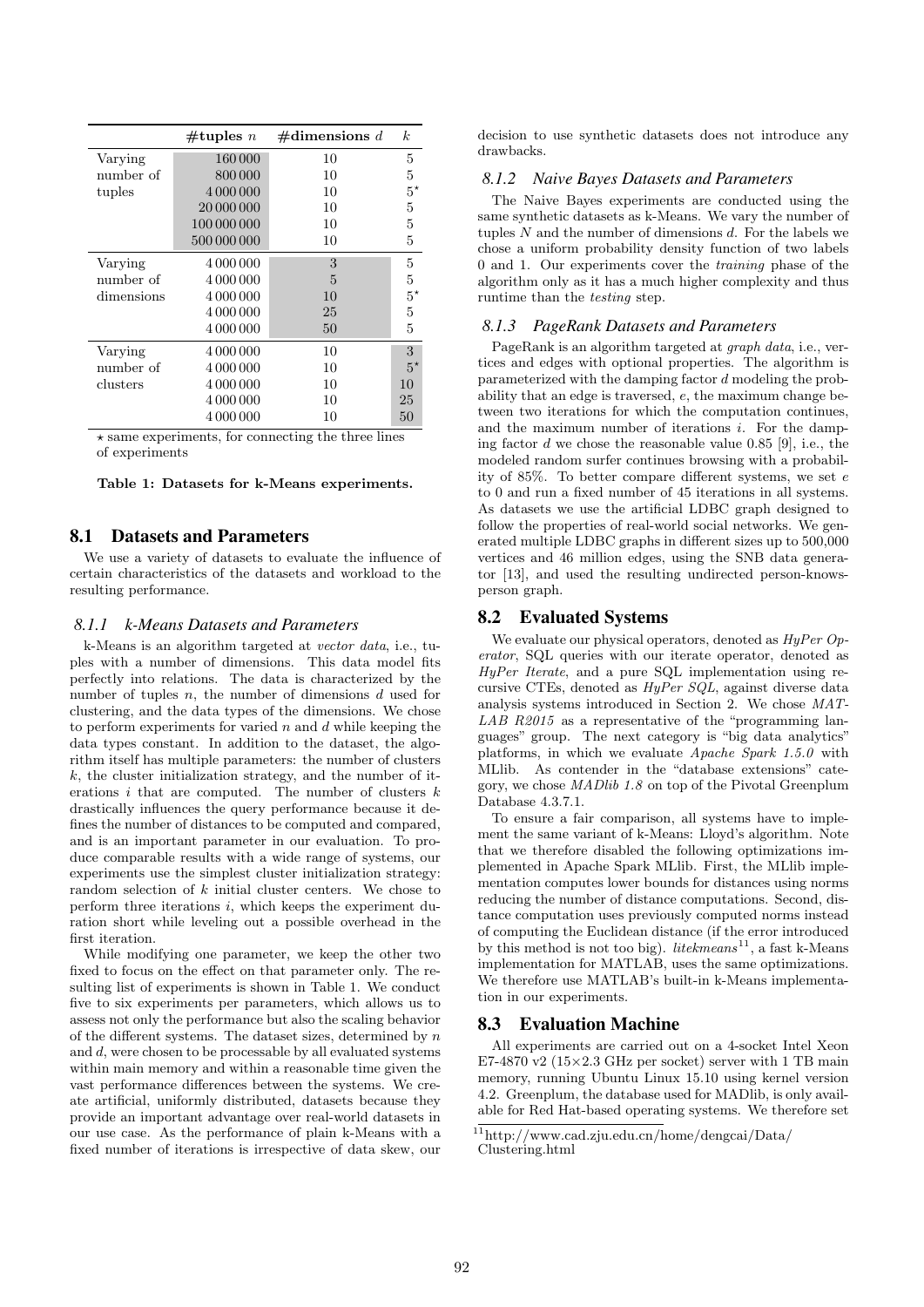|            | $\#tuples n$ | #dimensions $d$ | $\boldsymbol{k}$ |
|------------|--------------|-----------------|------------------|
| Varying    | 160000       | 10              | 5                |
| number of  | 800 000      | 10              | 5                |
| tuples     | 4 000 000    | 10              | $5^{\star}$      |
|            | 20 000 000   | 10              | 5                |
|            | 100 000 000  | 10              | 5                |
|            | 500 000 000  | 10              | 5                |
| Varying    | 4 000 000    | 3               | 5                |
| number of  | 4 000 000    | 5               | 5                |
| dimensions | 4 000 000    | 10              | $5^{\star}$      |
|            | 4 000 000    | 25              | 5                |
|            | 4 000 000    | 50              | 5                |
| Varying    | 4 000 000    | 10              | 3                |
| number of  | 4 000 000    | 10              | $5^{\star}$      |
| clusters   | 4 000 000    | 10              | 10               |
|            | 4 000 000    | 10              | 25               |
|            | 4 000 000    | 10              | 50               |

 $\star$  same experiments, for connecting the three lines of experiments

Table 1: Datasets for k-Means experiments.

### 8.1 Datasets and Parameters

We use a variety of datasets to evaluate the influence of certain characteristics of the datasets and workload to the resulting performance.

#### *8.1.1 k-Means Datasets and Parameters*

k-Means is an algorithm targeted at vector data, i.e., tuples with a number of dimensions. This data model fits perfectly into relations. The data is characterized by the number of tuples  $n$ , the number of dimensions  $d$  used for clustering, and the data types of the dimensions. We chose to perform experiments for varied  $n$  and  $d$  while keeping the data types constant. In addition to the dataset, the algorithm itself has multiple parameters: the number of clusters  $k$ , the cluster initialization strategy, and the number of iterations  $i$  that are computed. The number of clusters  $k$ drastically influences the query performance because it defines the number of distances to be computed and compared, and is an important parameter in our evaluation. To produce comparable results with a wide range of systems, our experiments use the simplest cluster initialization strategy: random selection of k initial cluster centers. We chose to perform three iterations  $i$ , which keeps the experiment duration short while leveling out a possible overhead in the first iteration.

While modifying one parameter, we keep the other two fixed to focus on the effect on that parameter only. The resulting list of experiments is shown in Table 1. We conduct five to six experiments per parameters, which allows us to assess not only the performance but also the scaling behavior of the different systems. The dataset sizes, determined by  $n$ and d, were chosen to be processable by all evaluated systems within main memory and within a reasonable time given the vast performance differences between the systems. We create artificial, uniformly distributed, datasets because they provide an important advantage over real-world datasets in our use case. As the performance of plain k-Means with a fixed number of iterations is irrespective of data skew, our decision to use synthetic datasets does not introduce any drawbacks.

#### *8.1.2 Naive Bayes Datasets and Parameters*

The Naive Bayes experiments are conducted using the same synthetic datasets as k-Means. We vary the number of tuples  $N$  and the number of dimensions  $d$ . For the labels we chose a uniform probability density function of two labels 0 and 1. Our experiments cover the training phase of the algorithm only as it has a much higher complexity and thus runtime than the testing step.

### *8.1.3 PageRank Datasets and Parameters*

PageRank is an algorithm targeted at graph data, i.e., vertices and edges with optional properties. The algorithm is parameterized with the damping factor d modeling the probability that an edge is traversed, e, the maximum change between two iterations for which the computation continues, and the maximum number of iterations  $i$ . For the damping factor  $d$  we chose the reasonable value 0.85 [9], i.e., the modeled random surfer continues browsing with a probability of 85%. To better compare different systems, we set e to 0 and run a fixed number of 45 iterations in all systems. As datasets we use the artificial LDBC graph designed to follow the properties of real-world social networks. We generated multiple LDBC graphs in different sizes up to 500,000 vertices and 46 million edges, using the SNB data generator [13], and used the resulting undirected person-knowsperson graph.

### 8.2 Evaluated Systems

We evaluate our physical operators, denoted as  $H \circ P$ erator, SQL queries with our iterate operator, denoted as HyPer Iterate, and a pure SQL implementation using recursive CTEs, denoted as HyPer SQL, against diverse data analysis systems introduced in Section 2. We chose MAT- $LAB$   $R2015$  as a representative of the "programming languages" group. The next category is "big data analytics" platforms, in which we evaluate Apache Spark 1.5.0 with MLlib. As contender in the "database extensions" category, we chose MADlib 1.8 on top of the Pivotal Greenplum Database 4.3.7.1.

To ensure a fair comparison, all systems have to implement the same variant of k-Means: Lloyd's algorithm. Note that we therefore disabled the following optimizations implemented in Apache Spark MLlib. First, the MLlib implementation computes lower bounds for distances using norms reducing the number of distance computations. Second, distance computation uses previously computed norms instead of computing the Euclidean distance (if the error introduced by this method is not too big). *litekmeans*<sup>11</sup>, a fast k-Means implementation for MATLAB, uses the same optimizations. We therefore use MATLAB's built-in k-Means implementation in our experiments.

#### 8.3 Evaluation Machine

All experiments are carried out on a 4-socket Intel Xeon E7-4870 v2 ( $15\times2.3$  GHz per socket) server with 1 TB main memory, running Ubuntu Linux 15.10 using kernel version 4.2. Greenplum, the database used for MADlib, is only available for Red Hat-based operating systems. We therefore set

 $\rm ^{11}$  http://www.cad.zju.edu.cn/home/dengcai/Data/ Clustering.html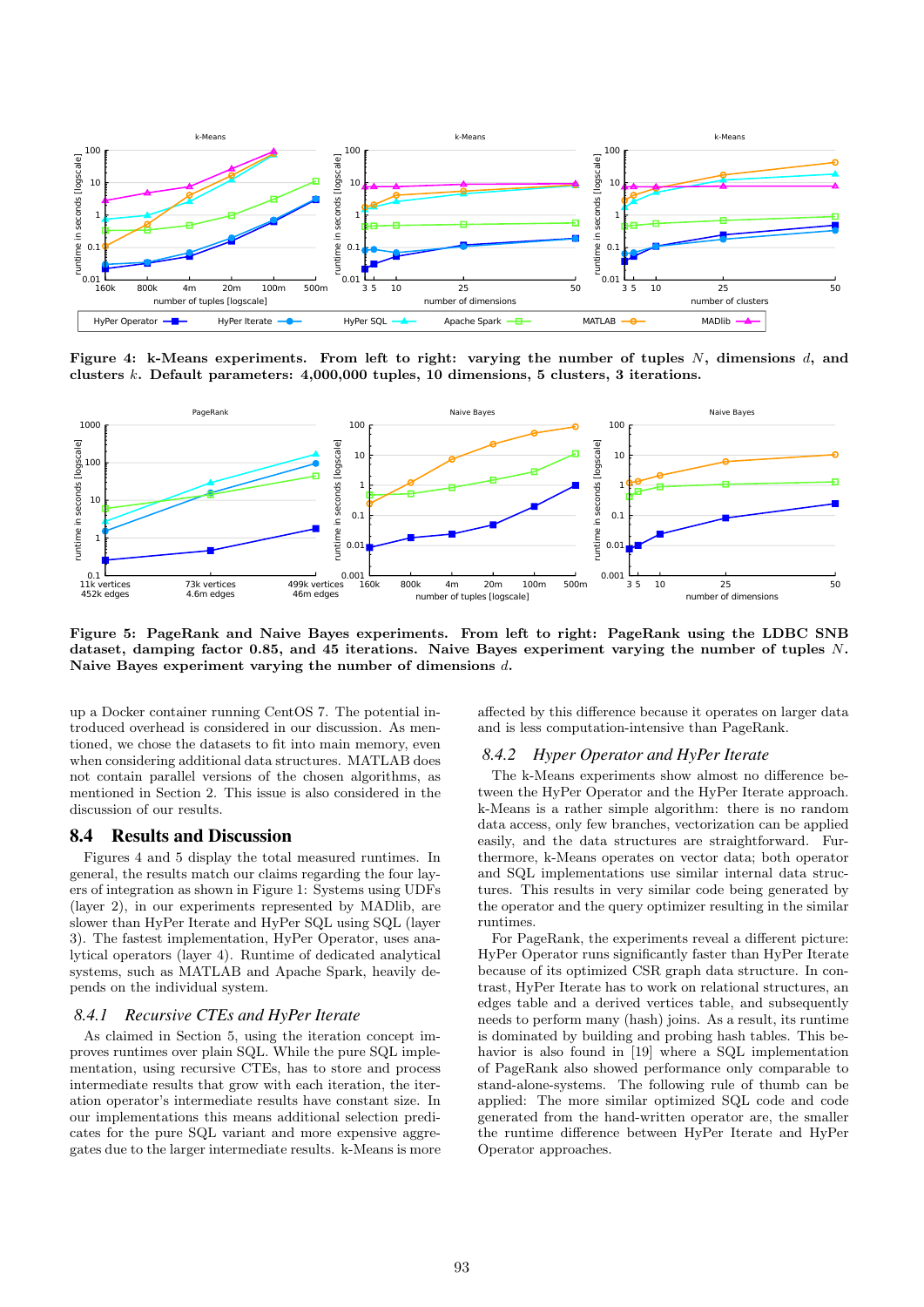

Figure 4: k-Means experiments. From left to right: varying the number of tuples  $N$ , dimensions  $d$ , and clusters k. Default parameters: 4,000,000 tuples, 10 dimensions, 5 clusters, 3 iterations.



Figure 5: PageRank and Naive Bayes experiments. From left to right: PageRank using the LDBC SNB dataset, damping factor 0.85, and 45 iterations. Naive Bayes experiment varying the number of tuples N. Naive Bayes experiment varying the number of dimensions d.

up a Docker container running CentOS 7. The potential introduced overhead is considered in our discussion. As mentioned, we chose the datasets to fit into main memory, even when considering additional data structures. MATLAB does not contain parallel versions of the chosen algorithms, as mentioned in Section 2. This issue is also considered in the discussion of our results.

#### 8.4 Results and Discussion

Figures 4 and 5 display the total measured runtimes. In general, the results match our claims regarding the four layers of integration as shown in Figure 1: Systems using UDFs (layer 2), in our experiments represented by MADlib, are slower than HyPer Iterate and HyPer SQL using SQL (layer 3). The fastest implementation, HyPer Operator, uses analytical operators (layer 4). Runtime of dedicated analytical systems, such as MATLAB and Apache Spark, heavily depends on the individual system.

#### *8.4.1 Recursive CTEs and HyPer Iterate*

As claimed in Section 5, using the iteration concept improves runtimes over plain SQL. While the pure SQL implementation, using recursive CTEs, has to store and process intermediate results that grow with each iteration, the iteration operator's intermediate results have constant size. In our implementations this means additional selection predicates for the pure SQL variant and more expensive aggregates due to the larger intermediate results. k-Means is more affected by this difference because it operates on larger data and is less computation-intensive than PageRank.

# *8.4.2 Hyper Operator and HyPer Iterate*

The k-Means experiments show almost no difference between the HyPer Operator and the HyPer Iterate approach. k-Means is a rather simple algorithm: there is no random data access, only few branches, vectorization can be applied easily, and the data structures are straightforward. Furthermore, k-Means operates on vector data; both operator and SQL implementations use similar internal data structures. This results in very similar code being generated by the operator and the query optimizer resulting in the similar runtimes.

For PageRank, the experiments reveal a different picture: HyPer Operator runs significantly faster than HyPer Iterate because of its optimized CSR graph data structure. In contrast, HyPer Iterate has to work on relational structures, an edges table and a derived vertices table, and subsequently needs to perform many (hash) joins. As a result, its runtime is dominated by building and probing hash tables. This behavior is also found in [19] where a SQL implementation of PageRank also showed performance only comparable to stand-alone-systems. The following rule of thumb can be applied: The more similar optimized SQL code and code generated from the hand-written operator are, the smaller the runtime difference between HyPer Iterate and HyPer Operator approaches.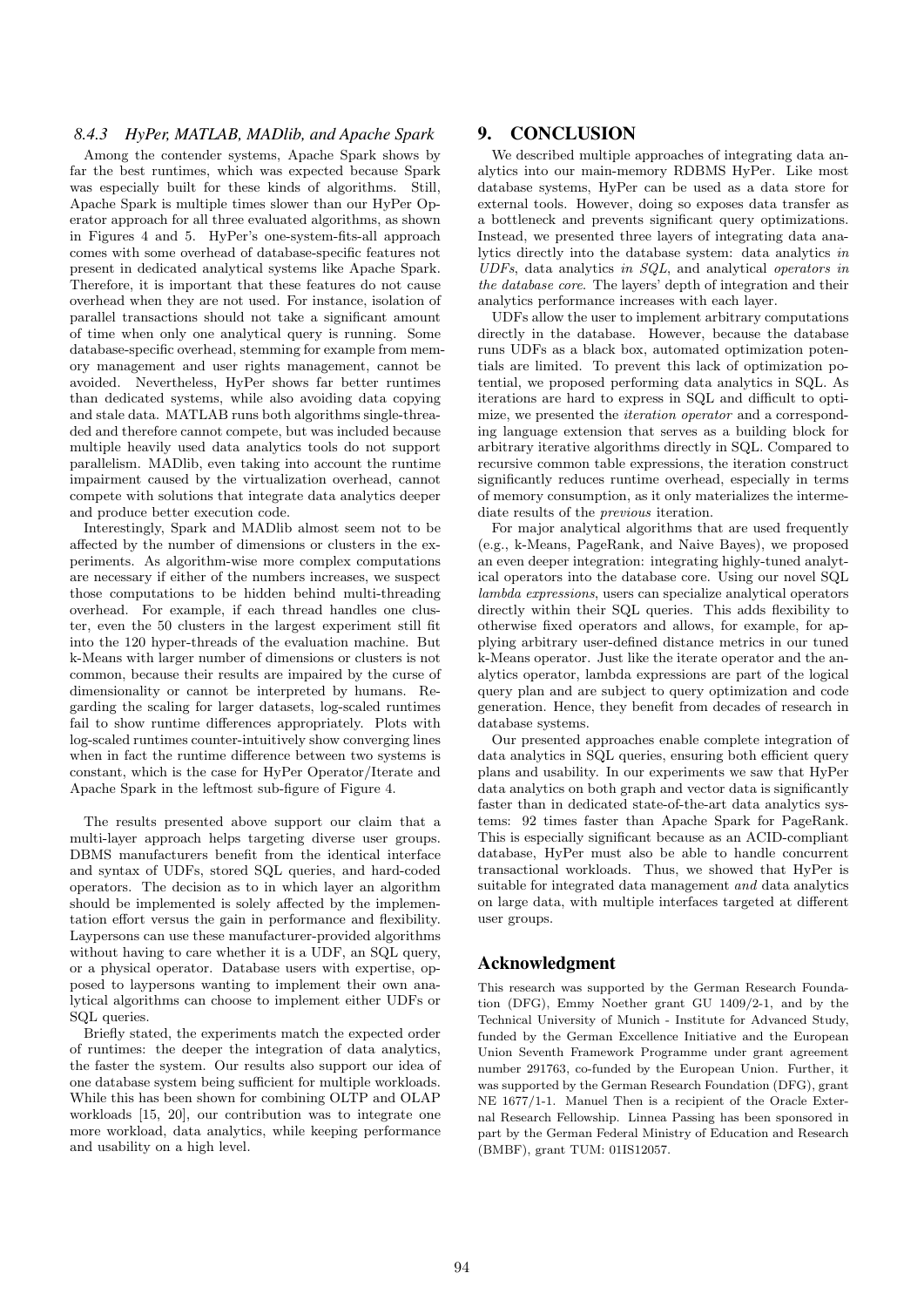### *8.4.3 HyPer, MATLAB, MADlib, and Apache Spark*

Among the contender systems, Apache Spark shows by far the best runtimes, which was expected because Spark was especially built for these kinds of algorithms. Still, Apache Spark is multiple times slower than our HyPer Operator approach for all three evaluated algorithms, as shown in Figures 4 and 5. HyPer's one-system-fits-all approach comes with some overhead of database-specific features not present in dedicated analytical systems like Apache Spark. Therefore, it is important that these features do not cause overhead when they are not used. For instance, isolation of parallel transactions should not take a significant amount of time when only one analytical query is running. Some database-specific overhead, stemming for example from memory management and user rights management, cannot be avoided. Nevertheless, HyPer shows far better runtimes than dedicated systems, while also avoiding data copying and stale data. MATLAB runs both algorithms single-threaded and therefore cannot compete, but was included because multiple heavily used data analytics tools do not support parallelism. MADlib, even taking into account the runtime impairment caused by the virtualization overhead, cannot compete with solutions that integrate data analytics deeper and produce better execution code.

Interestingly, Spark and MADlib almost seem not to be affected by the number of dimensions or clusters in the experiments. As algorithm-wise more complex computations are necessary if either of the numbers increases, we suspect those computations to be hidden behind multi-threading overhead. For example, if each thread handles one cluster, even the 50 clusters in the largest experiment still fit into the 120 hyper-threads of the evaluation machine. But k-Means with larger number of dimensions or clusters is not common, because their results are impaired by the curse of dimensionality or cannot be interpreted by humans. Regarding the scaling for larger datasets, log-scaled runtimes fail to show runtime differences appropriately. Plots with log-scaled runtimes counter-intuitively show converging lines when in fact the runtime difference between two systems is constant, which is the case for HyPer Operator/Iterate and Apache Spark in the leftmost sub-figure of Figure 4.

The results presented above support our claim that a multi-layer approach helps targeting diverse user groups. DBMS manufacturers benefit from the identical interface and syntax of UDFs, stored SQL queries, and hard-coded operators. The decision as to in which layer an algorithm should be implemented is solely affected by the implementation effort versus the gain in performance and flexibility. Laypersons can use these manufacturer-provided algorithms without having to care whether it is a UDF, an SQL query, or a physical operator. Database users with expertise, opposed to laypersons wanting to implement their own analytical algorithms can choose to implement either UDFs or SQL queries.

Briefly stated, the experiments match the expected order of runtimes: the deeper the integration of data analytics, the faster the system. Our results also support our idea of one database system being sufficient for multiple workloads. While this has been shown for combining OLTP and OLAP workloads [15, 20], our contribution was to integrate one more workload, data analytics, while keeping performance and usability on a high level.

## 9. CONCLUSION

We described multiple approaches of integrating data analytics into our main-memory RDBMS HyPer. Like most database systems, HyPer can be used as a data store for external tools. However, doing so exposes data transfer as a bottleneck and prevents significant query optimizations. Instead, we presented three layers of integrating data analytics directly into the database system: data analytics in UDFs, data analytics in SQL, and analytical operators in the database core. The layers' depth of integration and their analytics performance increases with each layer.

UDFs allow the user to implement arbitrary computations directly in the database. However, because the database runs UDFs as a black box, automated optimization potentials are limited. To prevent this lack of optimization potential, we proposed performing data analytics in SQL. As iterations are hard to express in SQL and difficult to optimize, we presented the iteration operator and a corresponding language extension that serves as a building block for arbitrary iterative algorithms directly in SQL. Compared to recursive common table expressions, the iteration construct significantly reduces runtime overhead, especially in terms of memory consumption, as it only materializes the intermediate results of the previous iteration.

For major analytical algorithms that are used frequently (e.g., k-Means, PageRank, and Naive Bayes), we proposed an even deeper integration: integrating highly-tuned analytical operators into the database core. Using our novel SQL lambda expressions, users can specialize analytical operators directly within their SQL queries. This adds flexibility to otherwise fixed operators and allows, for example, for applying arbitrary user-defined distance metrics in our tuned k-Means operator. Just like the iterate operator and the analytics operator, lambda expressions are part of the logical query plan and are subject to query optimization and code generation. Hence, they benefit from decades of research in database systems.

Our presented approaches enable complete integration of data analytics in SQL queries, ensuring both efficient query plans and usability. In our experiments we saw that HyPer data analytics on both graph and vector data is significantly faster than in dedicated state-of-the-art data analytics systems: 92 times faster than Apache Spark for PageRank. This is especially significant because as an ACID-compliant database, HyPer must also be able to handle concurrent transactional workloads. Thus, we showed that HyPer is suitable for integrated data management and data analytics on large data, with multiple interfaces targeted at different user groups.

## Acknowledgment

This research was supported by the German Research Foundation (DFG), Emmy Noether grant GU 1409/2-1, and by the Technical University of Munich - Institute for Advanced Study, funded by the German Excellence Initiative and the European Union Seventh Framework Programme under grant agreement number 291763, co-funded by the European Union. Further, it was supported by the German Research Foundation (DFG), grant NE 1677/1-1. Manuel Then is a recipient of the Oracle External Research Fellowship. Linnea Passing has been sponsored in part by the German Federal Ministry of Education and Research (BMBF), grant TUM: 01IS12057.